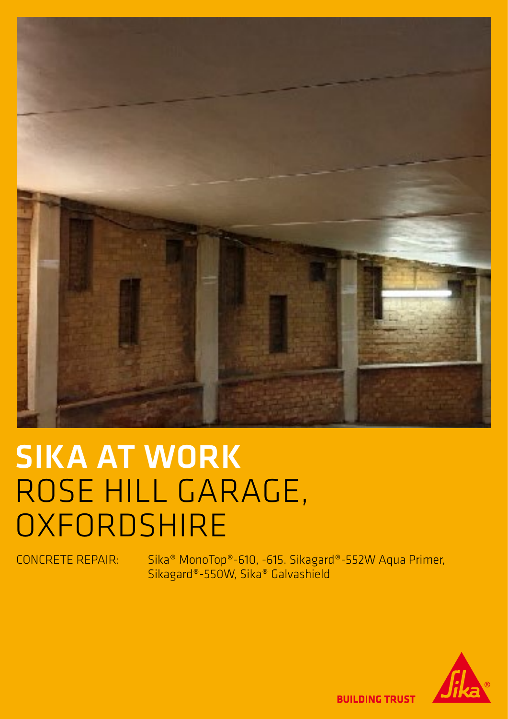

## SIKA AT WORK ROSE HILL GARAGE, **OXFORDSHIRE**

CONCRETE REPAIR: Sika® MonoTop®-610, -615. Sikagard®-552W Aqua Primer, Sikagard®-550W, Sika® Galvashield



**BUILDING TRUST**